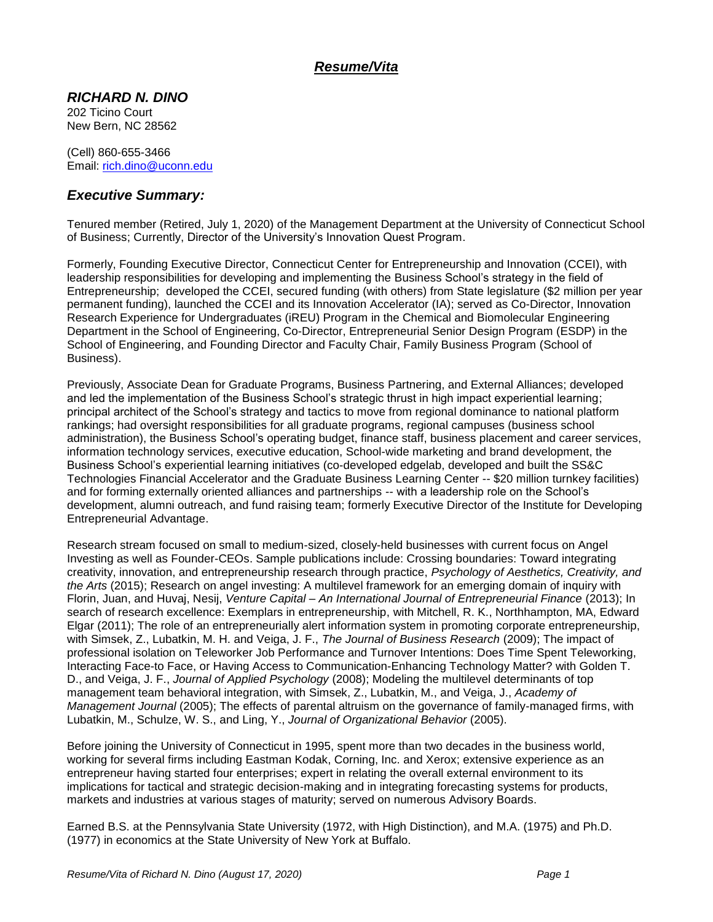## *Resume/Vita*

#### *RICHARD N. DINO*

202 Ticino Court New Bern, NC 28562

(Cell) 860-655-3466 Email: [rich.dino@uconn.edu](mailto:rich.dino@uconn.edu)

### *Executive Summary:*

Tenured member (Retired, July 1, 2020) of the Management Department at the University of Connecticut School of Business; Currently, Director of the University's Innovation Quest Program.

Formerly, Founding Executive Director, Connecticut Center for Entrepreneurship and Innovation (CCEI), with leadership responsibilities for developing and implementing the Business School's strategy in the field of Entrepreneurship; developed the CCEI, secured funding (with others) from State legislature (\$2 million per year permanent funding), launched the CCEI and its Innovation Accelerator (IA); served as Co-Director, Innovation Research Experience for Undergraduates (iREU) Program in the Chemical and Biomolecular Engineering Department in the School of Engineering, Co-Director, Entrepreneurial Senior Design Program (ESDP) in the School of Engineering, and Founding Director and Faculty Chair, Family Business Program (School of Business).

Previously, Associate Dean for Graduate Programs, Business Partnering, and External Alliances; developed and led the implementation of the Business School's strategic thrust in high impact experiential learning; principal architect of the School's strategy and tactics to move from regional dominance to national platform rankings; had oversight responsibilities for all graduate programs, regional campuses (business school administration), the Business School's operating budget, finance staff, business placement and career services, information technology services, executive education, School-wide marketing and brand development, the Business School's experiential learning initiatives (co-developed edgelab, developed and built the SS&C Technologies Financial Accelerator and the Graduate Business Learning Center -- \$20 million turnkey facilities) and for forming externally oriented alliances and partnerships -- with a leadership role on the School's development, alumni outreach, and fund raising team; formerly Executive Director of the Institute for Developing Entrepreneurial Advantage.

Research stream focused on small to medium-sized, closely-held businesses with current focus on Angel Investing as well as Founder-CEOs. Sample publications include: Crossing boundaries: Toward integrating creativity, innovation, and entrepreneurship research through practice, *Psychology of Aesthetics, Creativity, and the Arts* (2015); Research on angel investing: A multilevel framework for an emerging domain of inquiry with Florin, Juan, and Huvaj, Nesij, *Venture Capital – An International Journal of Entrepreneurial Finance* (2013); [In](http://www.depts.ttu.edu/vpr/discoveries/Spring-2011/mitchell.php)  [search of research excellence: Exemplars in entrepreneurship,](http://www.depts.ttu.edu/vpr/discoveries/Spring-2011/mitchell.php) with Mitchell, R. K., Northhampton, MA, Edward Elgar (2011); The role of an entrepreneurially alert information system in promoting corporate entrepreneurship, with Simsek, Z., Lubatkin, M. H. and Veiga, J. F., *The Journal of Business Research* (2009); The impact of professional isolation on Teleworker Job Performance and Turnover Intentions: Does Time Spent Teleworking, Interacting Face-to Face, or Having Access to Communication-Enhancing Technology Matter? with Golden T. D., and Veiga, J. F., *Journal of Applied Psychology* (2008); Modeling the multilevel determinants of top management team behavioral integration, with Simsek, Z., Lubatkin, M., and Veiga, J., *Academy of Management Journal* (2005); The effects of parental altruism on the governance of family-managed firms, with Lubatkin, M., Schulze, W. S., and Ling, Y., *Journal of Organizational Behavior* (2005).

Before joining the University of Connecticut in 1995, spent more than two decades in the business world, working for several firms including Eastman Kodak, Corning, Inc. and Xerox; extensive experience as an entrepreneur having started four enterprises; expert in relating the overall external environment to its implications for tactical and strategic decision-making and in integrating forecasting systems for products, markets and industries at various stages of maturity; served on numerous Advisory Boards.

Earned B.S. at the Pennsylvania State University (1972, with High Distinction), and M.A. (1975) and Ph.D. (1977) in economics at the State University of New York at Buffalo.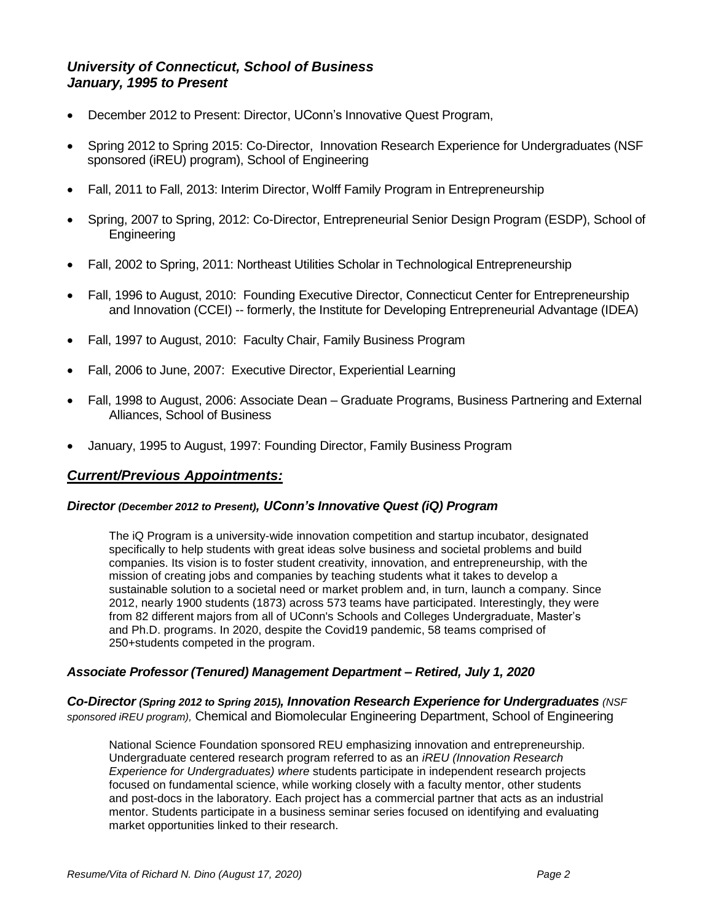### *University of Connecticut, School of Business January, 1995 to Present*

- December 2012 to Present: Director, UConn's Innovative Quest Program,
- Spring 2012 to Spring 2015: Co-Director, Innovation Research Experience for Undergraduates (NSF sponsored (iREU) program), School of Engineering
- Fall, 2011 to Fall, 2013: Interim Director, Wolff Family Program in Entrepreneurship
- Spring, 2007 to Spring, 2012: Co-Director, Entrepreneurial Senior Design Program (ESDP), School of **Engineering**
- Fall, 2002 to Spring, 2011: Northeast Utilities Scholar in Technological Entrepreneurship
- Fall, 1996 to August, 2010: Founding Executive Director, Connecticut Center for Entrepreneurship and Innovation (CCEI) -- formerly, the Institute for Developing Entrepreneurial Advantage (IDEA)
- Fall, 1997 to August, 2010: Faculty Chair, Family Business Program
- Fall, 2006 to June, 2007: Executive Director, Experiential Learning
- Fall, 1998 to August, 2006: Associate Dean Graduate Programs, Business Partnering and External Alliances, School of Business
- January, 1995 to August, 1997: Founding Director, Family Business Program

#### *Current/Previous Appointments:*

#### *Director (December 2012 to Present), UConn's Innovative Quest (iQ) Program*

The iQ Program is a university-wide innovation competition and startup incubator, designated specifically to help students with great ideas solve business and societal problems and build companies. Its vision is to foster student creativity, innovation, and entrepreneurship, with the mission of creating jobs and companies by teaching students what it takes to develop a sustainable solution to a societal need or market problem and, in turn, launch a company. Since 2012, nearly 1900 students (1873) across 573 teams have participated. Interestingly, they were from 82 different majors from all of UConn's Schools and Colleges Undergraduate, Master's and Ph.D. programs. In 2020, despite the Covid19 pandemic, 58 teams comprised of 250+students competed in the program.

#### *Associate Professor (Tenured) Management Department – Retired, July 1, 2020*

*Co-Director (Spring 2012 to Spring 2015), Innovation Research Experience for Undergraduates (NSF sponsored iREU program),* Chemical and Biomolecular Engineering Department, School of Engineering

National Science Foundation sponsored REU emphasizing innovation and entrepreneurship. Undergraduate centered research program referred to as an *iREU (Innovation Research Experience for Undergraduates) where* students participate in independent research projects focused on fundamental science, while working closely with a faculty mentor, other students and post-docs in the laboratory. Each project has a commercial partner that acts as an industrial mentor. Students participate in a business seminar series focused on identifying and evaluating market opportunities linked to their research.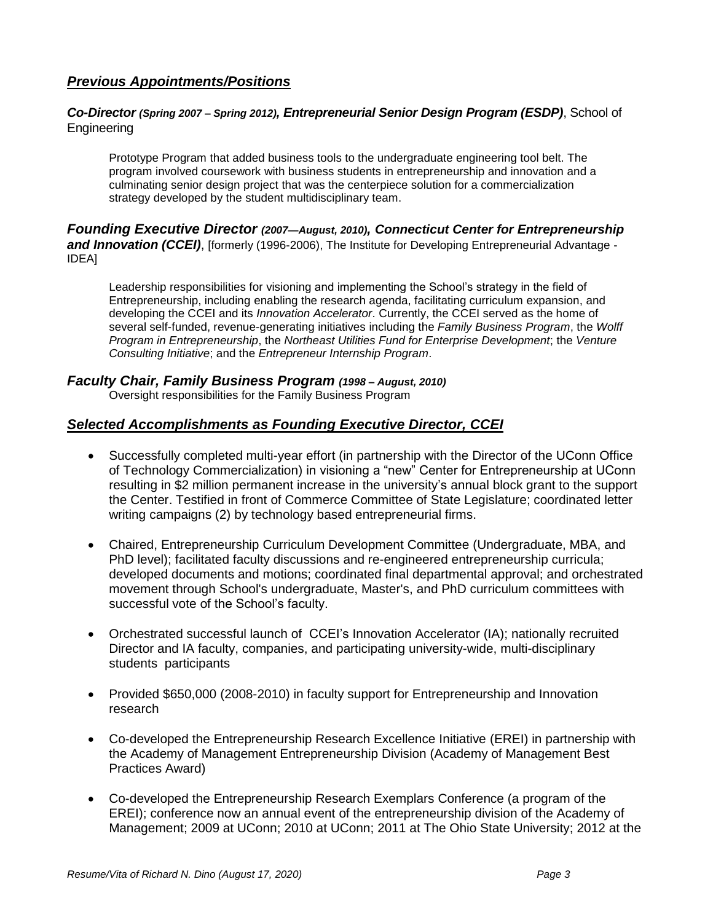# *Previous Appointments/Positions*

#### *Co-Director (Spring 2007 – Spring 2012), Entrepreneurial Senior Design Program (ESDP)*, School of Engineering

Prototype Program that added business tools to the undergraduate engineering tool belt. The program involved coursework with business students in entrepreneurship and innovation and a culminating senior design project that was the centerpiece solution for a commercialization strategy developed by the student multidisciplinary team.

#### *Founding Executive Director (2007—August, 2010), Connecticut Center for Entrepreneurship and Innovation (CCEI)*, [formerly (1996-2006), The Institute for Developing Entrepreneurial Advantage - IDEA]

Leadership responsibilities for visioning and implementing the School's strategy in the field of Entrepreneurship, including enabling the research agenda, facilitating curriculum expansion, and developing the CCEI and its *Innovation Accelerator*. Currently, the CCEI served as the home of several self-funded, revenue-generating initiatives including the *Family Business Program*, the *Wolff Program in Entrepreneurship*, the *Northeast Utilities Fund for Enterprise Development*; the *Venture Consulting Initiative*; and the *Entrepreneur Internship Program*.

#### *Faculty Chair, Family Business Program (1998 – August, 2010)*

Oversight responsibilities for the Family Business Program

## *Selected Accomplishments as Founding Executive Director, CCEI*

- Successfully completed multi-year effort (in partnership with the Director of the UConn Office of Technology Commercialization) in visioning a "new" Center for Entrepreneurship at UConn resulting in \$2 million permanent increase in the university's annual block grant to the support the Center. Testified in front of Commerce Committee of State Legislature; coordinated letter writing campaigns (2) by technology based entrepreneurial firms.
- Chaired, Entrepreneurship Curriculum Development Committee (Undergraduate, MBA, and PhD level); facilitated faculty discussions and re-engineered entrepreneurship curricula; developed documents and motions; coordinated final departmental approval; and orchestrated movement through School's undergraduate, Master's, and PhD curriculum committees with successful vote of the School's faculty.
- Orchestrated successful launch of CCEI's Innovation Accelerator (IA); nationally recruited Director and IA faculty, companies, and participating university-wide, multi-disciplinary students participants
- Provided \$650,000 (2008-2010) in faculty support for Entrepreneurship and Innovation research
- Co-developed the Entrepreneurship Research Excellence Initiative (EREI) in partnership with the Academy of Management Entrepreneurship Division (Academy of Management Best Practices Award)
- Co-developed the Entrepreneurship Research Exemplars Conference (a program of the EREI); conference now an annual event of the entrepreneurship division of the Academy of Management; 2009 at UConn; 2010 at UConn; 2011 at The Ohio State University; 2012 at the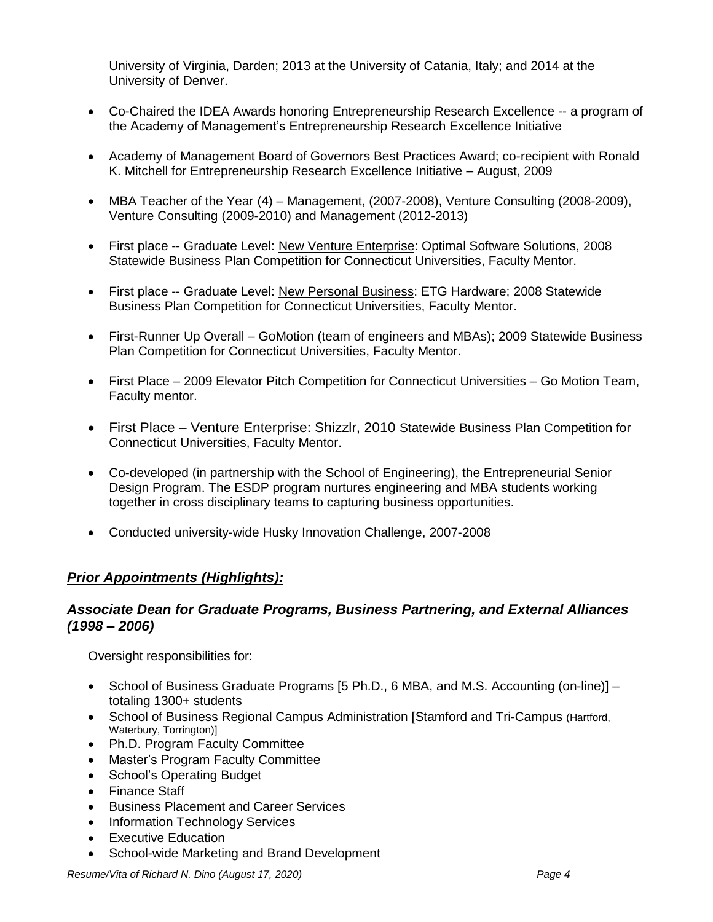University of Virginia, Darden; 2013 at the University of Catania, Italy; and 2014 at the University of Denver.

- Co-Chaired the IDEA Awards honoring Entrepreneurship Research Excellence -- a program of the Academy of Management's Entrepreneurship Research Excellence Initiative
- Academy of Management Board of Governors Best Practices Award; co-recipient with Ronald K. Mitchell for Entrepreneurship Research Excellence Initiative – August, 2009
- MBA Teacher of the Year (4) Management, (2007-2008), Venture Consulting (2008-2009), Venture Consulting (2009-2010) and Management (2012-2013)
- First place -- Graduate Level: New Venture Enterprise: Optimal Software Solutions, 2008 Statewide Business Plan Competition for Connecticut Universities, Faculty Mentor.
- First place -- Graduate Level: New Personal Business: ETG Hardware; 2008 Statewide Business Plan Competition for Connecticut Universities, Faculty Mentor.
- First-Runner Up Overall GoMotion (team of engineers and MBAs); 2009 Statewide Business Plan Competition for Connecticut Universities, Faculty Mentor.
- First Place 2009 Elevator Pitch Competition for Connecticut Universities Go Motion Team, Faculty mentor.
- First Place Venture Enterprise: Shizzlr, 2010 Statewide Business Plan Competition for Connecticut Universities, Faculty Mentor.
- Co-developed (in partnership with the School of Engineering), the Entrepreneurial Senior Design Program. The ESDP program nurtures engineering and MBA students working together in cross disciplinary teams to capturing business opportunities.
- Conducted university-wide Husky Innovation Challenge, 2007-2008

## *Prior Appointments (Highlights):*

#### *Associate Dean for Graduate Programs, Business Partnering, and External Alliances (1998 – 2006)*

Oversight responsibilities for:

- School of Business Graduate Programs [5 Ph.D., 6 MBA, and M.S. Accounting (on-line)]  $$ totaling 1300+ students
- School of Business Regional Campus Administration [Stamford and Tri-Campus (Hartford, Waterbury, Torrington)]
- Ph.D. Program Faculty Committee
- Master's Program Faculty Committee
- School's Operating Budget
- Finance Staff
- **•** Business Placement and Career Services
- Information Technology Services
- Executive Education
- School-wide Marketing and Brand Development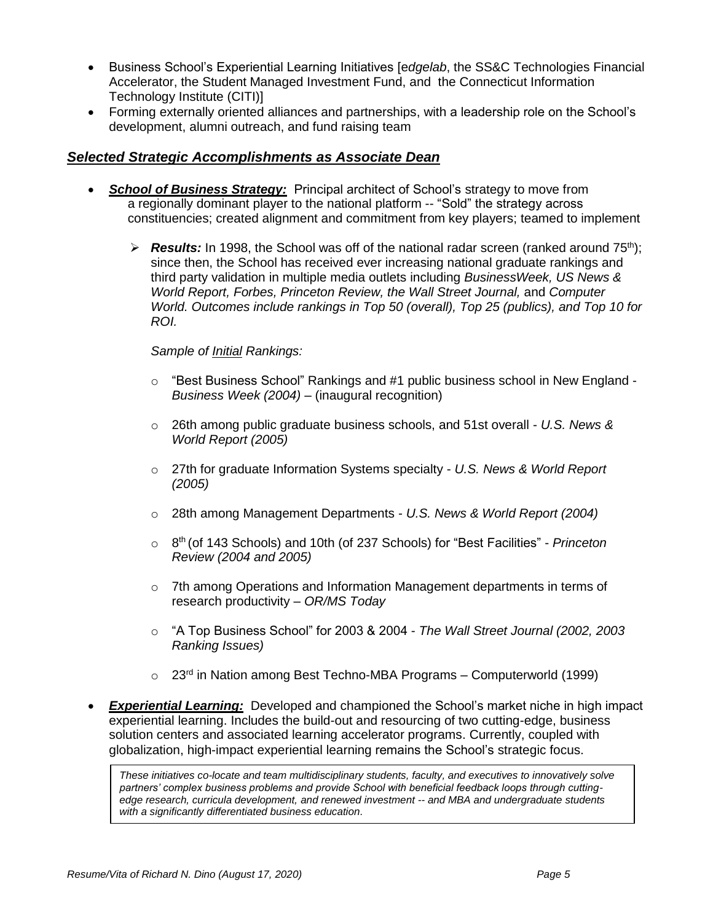- Business School's Experiential Learning Initiatives [e*dgelab*, the SS&C Technologies Financial Accelerator, the Student Managed Investment Fund, and the Connecticut Information Technology Institute (CITI)]
- Forming externally oriented alliances and partnerships, with a leadership role on the School's development, alumni outreach, and fund raising team

#### *Selected Strategic Accomplishments as Associate Dean*

- *School of Business Strategy:* Principal architect of School's strategy to move from a regionally dominant player to the national platform -- "Sold" the strategy across constituencies; created alignment and commitment from key players; teamed to implement
	- $\triangleright$  **Results:** In 1998, the School was off of the national radar screen (ranked around 75<sup>th</sup>); since then, the School has received ever increasing national graduate rankings and third party validation in multiple media outlets including *BusinessWeek, US News & World Report, Forbes, Princeton Review, the Wall Street Journal,* and *Computer World. Outcomes include rankings in Top 50 (overall), Top 25 (publics), and Top 10 for ROI.*

#### *Sample of Initial Rankings:*

- $\circ$  "Best Business School" Rankings and #1 public business school in New England -*Business Week (2004)* – (inaugural recognition)
- o 26th among public graduate business schools, and 51st overall *U.S. News & World Report (2005)*
- o 27th for graduate Information Systems specialty *U.S. News & World Report (2005)*
- o 28th among Management Departments *U.S. News & World Report (2004)*
- o 8 th (of 143 Schools) and 10th (of 237 Schools) for "Best Facilities" *Princeton Review (2004 and 2005)*
- $\circ$  7th among Operations and Information Management departments in terms of research productivity – *OR/MS Today*
- o "A Top Business School" for 2003 & 2004 *The Wall Street Journal (2002, 2003 Ranking Issues)*
- $\circ$  23<sup>rd</sup> in Nation among Best Techno-MBA Programs Computerworld (1999)
- *Experiential Learning:* Developed and championed the School's market niche in high impact experiential learning. Includes the build-out and resourcing of two cutting-edge, business solution centers and associated learning accelerator programs. Currently, coupled with globalization, high-impact experiential learning remains the School's strategic focus.

*These initiatives co-locate and team multidisciplinary students, faculty, and executives to innovatively solve partners' complex business problems and provide School with beneficial feedback loops through cuttingedge research, curricula development, and renewed investment -- and MBA and undergraduate students with a significantly differentiated business education.*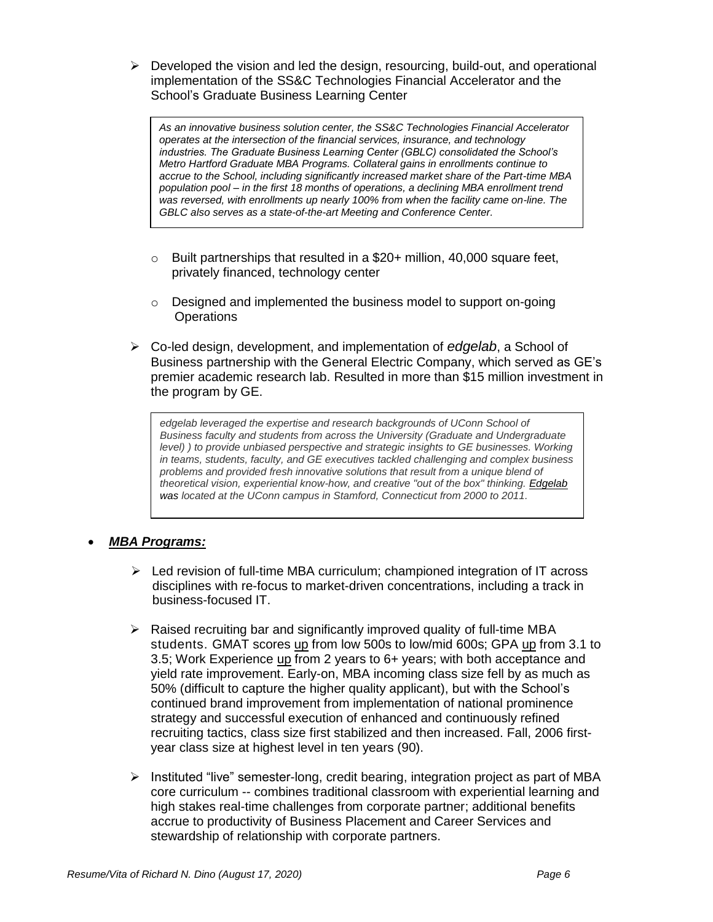$\triangleright$  Developed the vision and led the design, resourcing, build-out, and operational implementation of the SS&C Technologies Financial Accelerator and the School's Graduate Business Learning Center

*As an innovative business solution center, the SS&C Technologies Financial Accelerator operates at the intersection of the financial services, insurance, and technology industries. The Graduate Business Learning Center (GBLC) consolidated the School's Metro Hartford Graduate MBA Programs. Collateral gains in enrollments continue to accrue to the School, including significantly increased market share of the Part-time MBA population pool – in the first 18 months of operations, a declining MBA enrollment trend was reversed, with enrollments up nearly 100% from when the facility came on-line. The GBLC also serves as a state-of-the-art Meeting and Conference Center.*

- $\circ$  Built partnerships that resulted in a \$20+ million, 40,000 square feet, privately financed, technology center
- o Designed and implemented the business model to support on-going **Operations**
- Co-led design, development, and implementation of *[edgelab](http://www.edgelab.info/Pages/Index.asp)*, a School of Business partnership with the General Electric Company, which served as GE's premier academic research lab. Resulted in more than \$15 million investment in the program by GE.

*edgelab leveraged the expertise and research backgrounds of UConn School of Business faculty and students from across the University (Graduate and Undergraduate level) )* to provide unbiased perspective and strategic insights to GE businesses. Working *in teams, students, faculty, and GE executives tackled challenging and complex business problems and provided fresh innovative solutions that result from a unique blend of theoretical vision, experiential know-how, and creative "out of the box" thinking. [Edgelab](http://www.edgelab.info/) was located at the UConn campus in Stamford, Connecticut from 2000 to 2011.*

## *MBA Programs:*

- $\triangleright$  Led revision of full-time MBA curriculum; championed integration of IT across disciplines with re-focus to market-driven concentrations, including a track in business-focused IT.
- $\triangleright$  Raised recruiting bar and significantly improved quality of full-time MBA students. GMAT scores up from low 500s to low/mid 600s; GPA up from 3.1 to 3.5; Work Experience up from 2 years to 6+ years; with both acceptance and yield rate improvement. Early-on, MBA incoming class size fell by as much as 50% (difficult to capture the higher quality applicant), but with the School's continued brand improvement from implementation of national prominence strategy and successful execution of enhanced and continuously refined recruiting tactics, class size first stabilized and then increased. Fall, 2006 firstyear class size at highest level in ten years (90).
- $\triangleright$  Instituted "live" semester-long, credit bearing, integration project as part of MBA core curriculum -- combines traditional classroom with experiential learning and high stakes real-time challenges from corporate partner; additional benefits accrue to productivity of Business Placement and Career Services and stewardship of relationship with corporate partners.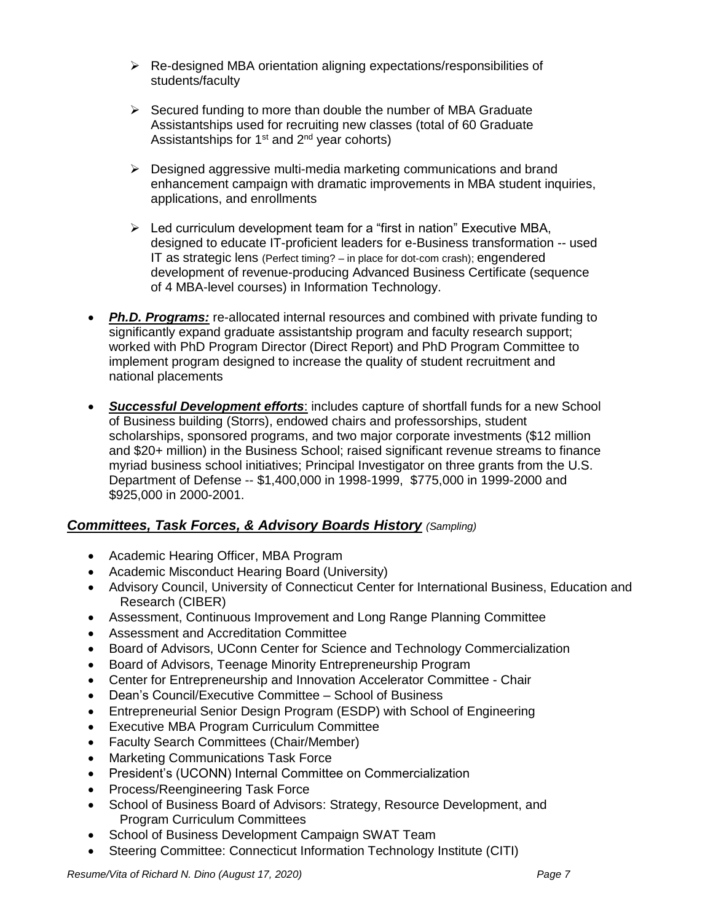- Re-designed MBA orientation aligning expectations/responsibilities of students/faculty
- $\triangleright$  Secured funding to more than double the number of MBA Graduate Assistantships used for recruiting new classes (total of 60 Graduate Assistantships for  $1<sup>st</sup>$  and  $2<sup>nd</sup>$  year cohorts)
- $\triangleright$  Designed aggressive multi-media marketing communications and brand enhancement campaign with dramatic improvements in MBA student inquiries, applications, and enrollments
- $\triangleright$  Led curriculum development team for a "first in nation" Executive MBA, designed to educate IT-proficient leaders for e-Business transformation -- used IT as strategic lens (Perfect timing? – in place for dot-com crash); engendered development of revenue-producing Advanced Business Certificate (sequence of 4 MBA-level courses) in Information Technology.
- *Ph.D. Programs:* re-allocated internal resources and combined with private funding to significantly expand graduate assistantship program and faculty research support; worked with PhD Program Director (Direct Report) and PhD Program Committee to implement program designed to increase the quality of student recruitment and national placements
- *Successful Development efforts*: includes capture of shortfall funds for a new School of Business building (Storrs), endowed chairs and professorships, student scholarships, sponsored programs, and two major corporate investments (\$12 million and \$20+ million) in the Business School; raised significant revenue streams to finance myriad business school initiatives; Principal Investigator on three grants from the U.S. Department of Defense -- \$1,400,000 in 1998-1999, \$775,000 in 1999-2000 and \$925,000 in 2000-2001.

## *Committees, Task Forces, & Advisory Boards History (Sampling)*

- Academic Hearing Officer, MBA Program
- Academic Misconduct Hearing Board (University)
- Advisory Council, University of Connecticut Center for International Business, Education and Research (CIBER)
- Assessment, Continuous Improvement and Long Range Planning Committee
- Assessment and Accreditation Committee
- Board of Advisors, UConn Center for Science and Technology Commercialization
- Board of Advisors, Teenage Minority Entrepreneurship Program
- Center for Entrepreneurship and Innovation Accelerator Committee Chair
- Dean's Council/Executive Committee School of Business
- Entrepreneurial Senior Design Program (ESDP) with School of Engineering
- Executive MBA Program Curriculum Committee
- Faculty Search Committees (Chair/Member)
- Marketing Communications Task Force
- President's (UCONN) Internal Committee on Commercialization
- Process/Reengineering Task Force
- School of Business Board of Advisors: Strategy, Resource Development, and Program Curriculum Committees
- School of Business Development Campaign SWAT Team
- Steering Committee: Connecticut Information Technology Institute (CITI)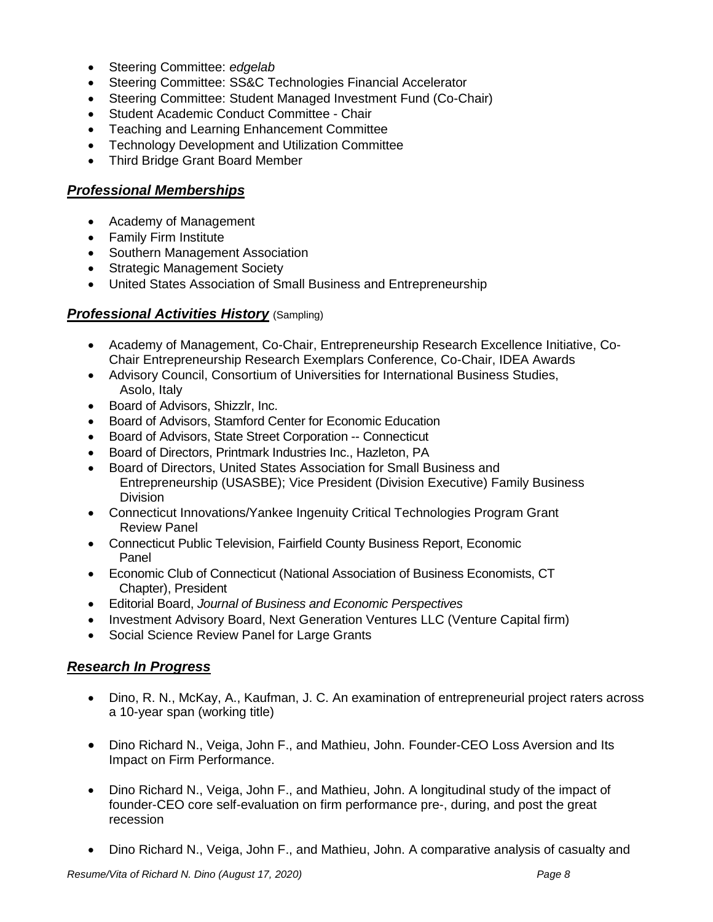- Steering Committee: *edgelab*
- Steering Committee: SS&C Technologies Financial Accelerator
- Steering Committee: Student Managed Investment Fund (Co-Chair)
- Student Academic Conduct Committee Chair
- Teaching and Learning Enhancement Committee
- Technology Development and Utilization Committee
- Third Bridge Grant Board Member

## *Professional Memberships*

- Academy of Management
- Family Firm Institute
- Southern Management Association
- Strategic Management Society
- United States Association of Small Business and Entrepreneurship

#### *Professional Activities History* (Sampling)

- Academy of Management, Co-Chair, Entrepreneurship Research Excellence Initiative, Co-Chair Entrepreneurship Research Exemplars Conference, Co-Chair, IDEA Awards
- Advisory Council, Consortium of Universities for International Business Studies, Asolo, Italy
- Board of Advisors, Shizzlr, Inc.
- Board of Advisors, Stamford Center for Economic Education
- Board of Advisors, State Street Corporation -- Connecticut
- Board of Directors, Printmark Industries Inc., Hazleton, PA
- Board of Directors, United States Association for Small Business and Entrepreneurship (USASBE); Vice President (Division Executive) Family Business Division
- Connecticut Innovations/Yankee Ingenuity Critical Technologies Program Grant Review Panel
- Connecticut Public Television, Fairfield County Business Report, Economic Panel
- Economic Club of Connecticut (National Association of Business Economists, CT Chapter), President
- Editorial Board, *Journal of Business and Economic Perspectives*
- Investment Advisory Board, Next Generation Ventures LLC (Venture Capital firm)
- Social Science Review Panel for Large Grants

## *Research In Progress*

- Dino, R. N., McKay, A., Kaufman, J. C. An examination of entrepreneurial project raters across a 10-year span (working title)
- Dino Richard N., Veiga, John F., and Mathieu, John. Founder-CEO Loss Aversion and Its Impact on Firm Performance.
- Dino Richard N., Veiga, John F., and Mathieu, John. A longitudinal study of the impact of founder-CEO core self-evaluation on firm performance pre-, during, and post the great recession
- Dino Richard N., Veiga, John F., and Mathieu, John. A comparative analysis of casualty and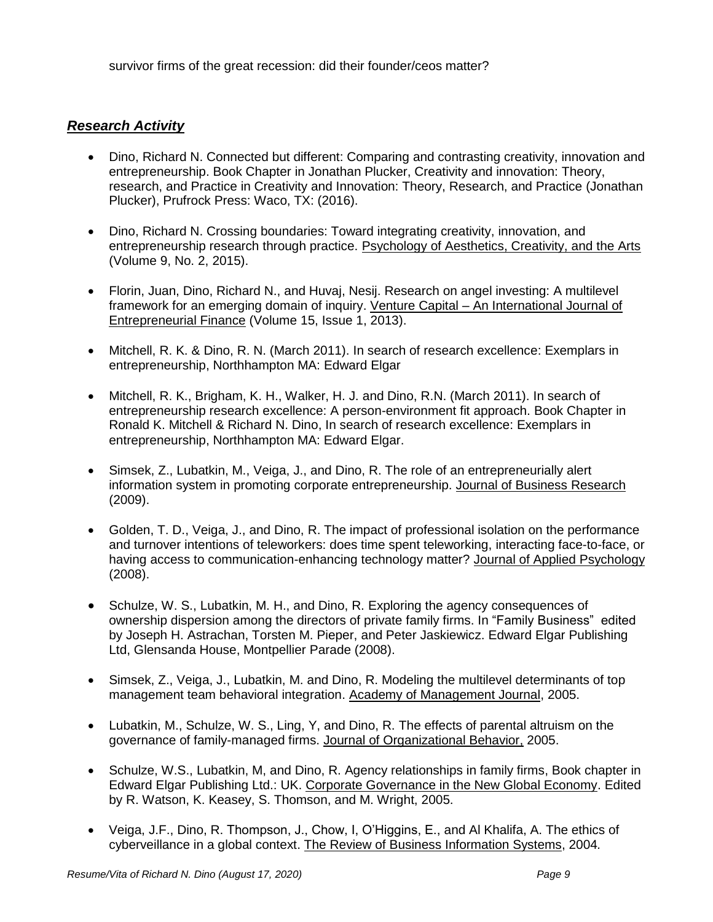### *Research Activity*

- Dino, Richard N. Connected but different: Comparing and contrasting creativity, innovation and entrepreneurship. Book Chapter in Jonathan Plucker, Creativity and innovation: Theory, research, and Practice in Creativity and Innovation: Theory, Research, and Practice (Jonathan Plucker), Prufrock Press: Waco, TX: (2016).
- Dino, Richard N. Crossing boundaries: Toward integrating creativity, innovation, and entrepreneurship research through practice. Psychology of Aesthetics, Creativity, and the Arts (Volume 9, No. 2, 2015).
- Florin, Juan, Dino, Richard N., and Huvaj, Nesij. Research on angel investing: A multilevel framework for an emerging domain of inquiry. Venture Capital - An International Journal of Entrepreneurial Finance [\(Volume 15,](http://www.tandfonline.com/loi/tvec20?open=15#vol_15) [Issue 1,](http://www.tandfonline.com/toc/tvec20/15/1) 2013).
- Mitchell, R. K. & Dino, R. N. (March 2011). In search of research excellence: Exemplars in [entrepreneurship,](http://www.depts.ttu.edu/vpr/discoveries/Spring-2011/mitchell.php) Northhampton MA: Edward Elgar
- Mitchell, R. K., Brigham, K. H., Walker, H. J. and Dino, R.N. (March 2011). In search of [entrepreneurship research excellence: A person-environment fit approach.](http://www.ronaldmitchell.org/publications/CHAPTER%201.pdf) Book Chapter in Ronald K. Mitchell & Richard N. Dino, In search of research excellence: Exemplars in entrepreneurship, Northhampton MA: Edward Elgar.
- Simsek, Z., Lubatkin, M., Veiga, J., and Dino, R. The role of an entrepreneurially alert information system in promoting corporate entrepreneurship. Journal of Business Research (2009).
- Golden, T. D., Veiga, J., and Dino, R. The impact of professional isolation on the performance and turnover intentions of teleworkers: does time spent teleworking, interacting face-to-face, or having access to communication-enhancing technology matter? Journal of Applied Psychology (2008).
- Schulze, W. S., Lubatkin, M. H., and Dino, R. Exploring the agency consequences of ownership dispersion among the directors of private family firms. In "Family Business" edited by Joseph H. Astrachan, Torsten M. Pieper, and Peter Jaskiewicz. Edward Elgar Publishing Ltd, Glensanda House, Montpellier Parade (2008).
- Simsek, Z., Veiga, J., Lubatkin, M. and Dino, R. Modeling the multilevel determinants of top management team behavioral integration. Academy of Management Journal, 2005.
- Lubatkin, M., Schulze, W. S., Ling, Y, and Dino, R. The effects of parental altruism on the governance of family-managed firms. Journal of Organizational Behavior, 2005.
- Schulze, W.S., Lubatkin, M, and Dino, R. Agency relationships in family firms, Book chapter in Edward Elgar Publishing Ltd.: UK. Corporate Governance in the New Global Economy. Edited by R. Watson, K. Keasey, S. Thomson, and M. Wright, 2005.
- Veiga, J.F., Dino, R. Thompson, J., Chow, I, O'Higgins, E., and Al Khalifa, A. The ethics of cyberveillance in a global context. The Review of Business Information Systems, 2004*.*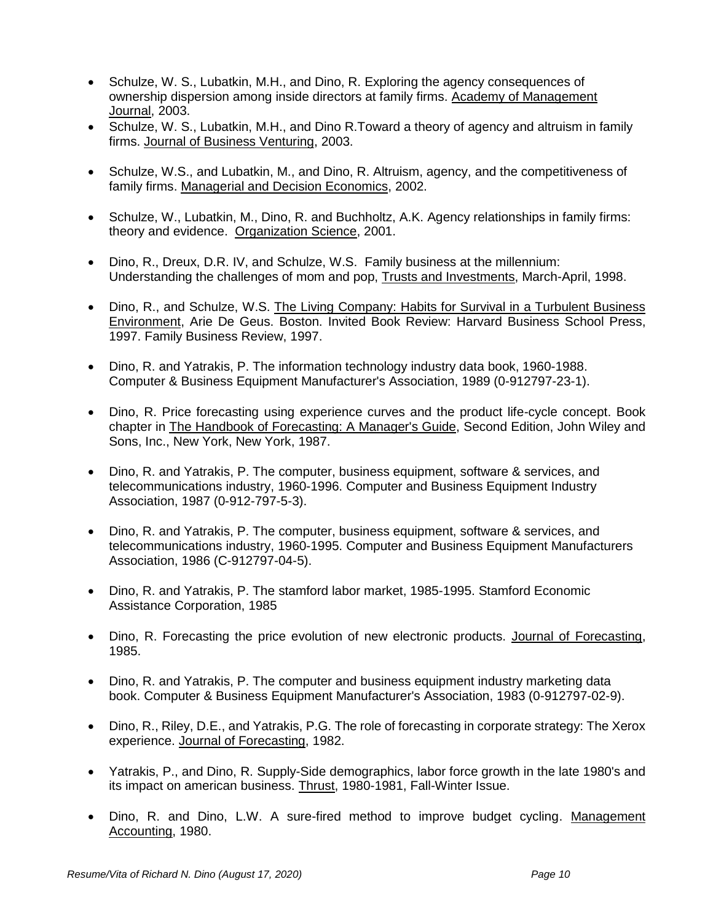- Schulze, W. S., Lubatkin, M.H., and Dino, R. Exploring the agency consequences of ownership dispersion among inside directors at family firms. Academy of Management Journal, 2003.
- Schulze, W. S., Lubatkin, M.H., and Dino R. Toward a theory of agency and altruism in family firms. Journal of Business Venturing, 2003.
- Schulze, W.S., and Lubatkin, M., and Dino, R. Altruism, agency, and the competitiveness of family firms. Managerial and Decision Economics, 2002.
- Schulze, W., Lubatkin, M., Dino, R. and Buchholtz, A.K. Agency relationships in family firms: theory and evidence. Organization Science, 2001.
- Dino, R., Dreux, D.R. IV, and Schulze, W.S. Family business at the millennium: Understanding the challenges of mom and pop, Trusts and Investments, March-April, 1998.
- Dino, R., and Schulze, W.S. The Living Company: Habits for Survival in a Turbulent Business Environment, Arie De Geus. Boston. Invited Book Review: Harvard Business School Press, 1997. Family Business Review, 1997.
- Dino, R. and Yatrakis, P. The information technology industry data book, 1960-1988. Computer & Business Equipment Manufacturer's Association, 1989 (0-912797-23-1).
- Dino, R. Price forecasting using experience curves and the product life-cycle concept. Book chapter in The Handbook of Forecasting: A Manager's Guide, Second Edition, John Wiley and Sons, Inc., New York, New York, 1987.
- Dino, R. and Yatrakis, P. The computer, business equipment, software & services, and telecommunications industry, 1960-1996. Computer and Business Equipment Industry Association, 1987 (0-912-797-5-3).
- Dino, R. and Yatrakis, P. The computer, business equipment, software & services, and telecommunications industry, 1960-1995. Computer and Business Equipment Manufacturers Association, 1986 (C-912797-04-5).
- Dino, R. and Yatrakis, P. The stamford labor market, 1985-1995. Stamford Economic Assistance Corporation, 1985
- Dino, R. Forecasting the price evolution of new electronic products. Journal of Forecasting, 1985.
- Dino, R. and Yatrakis, P. The computer and business equipment industry marketing data book. Computer & Business Equipment Manufacturer's Association, 1983 (0-912797-02-9).
- Dino, R., Riley, D.E., and Yatrakis, P.G. The role of forecasting in corporate strategy: The Xerox experience. Journal of Forecasting, 1982.
- Yatrakis, P., and Dino, R. Supply-Side demographics, labor force growth in the late 1980's and its impact on american business. Thrust, 1980-1981, Fall-Winter Issue.
- Dino, R. and Dino, L.W. A sure-fired method to improve budget cycling. Management Accounting, 1980.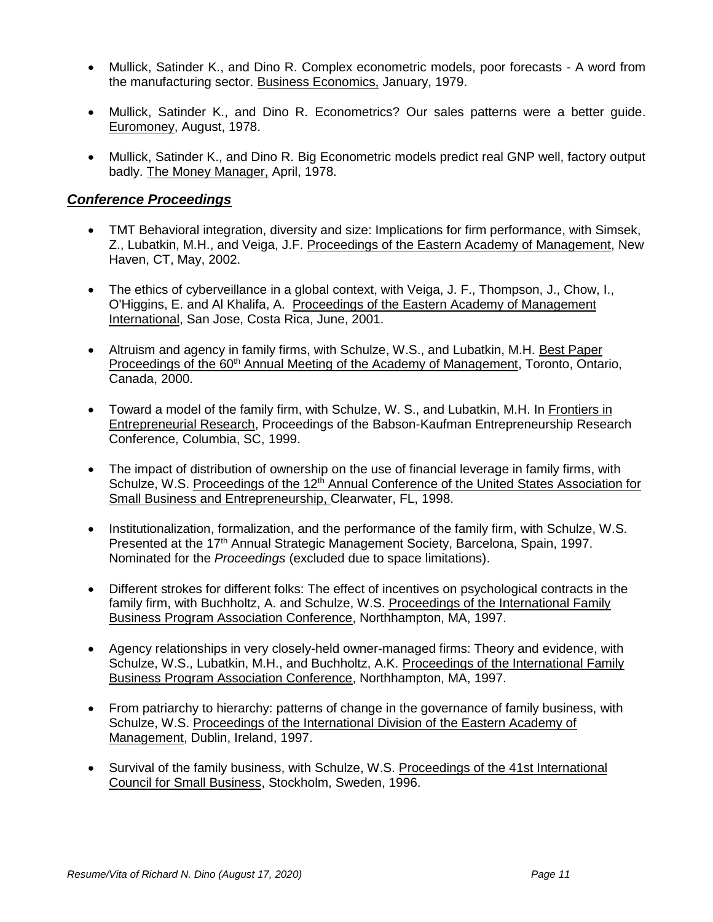- Mullick, Satinder K., and Dino R. Complex econometric models, poor forecasts A word from the manufacturing sector. Business Economics, January, 1979.
- Mullick, Satinder K., and Dino R. Econometrics? Our sales patterns were a better guide. Euromoney, August, 1978.
- Mullick, Satinder K., and Dino R. Big Econometric models predict real GNP well, factory output badly. The Money Manager, April, 1978.

#### *Conference Proceedings*

- TMT Behavioral integration, diversity and size: Implications for firm performance, with Simsek, Z., Lubatkin, M.H., and Veiga, J.F. Proceedings of the Eastern Academy of Management, New Haven, CT, May, 2002.
- The ethics of cyberveillance in a global context, with Veiga, J. F., Thompson, J., Chow, I., O'Higgins, E. and Al Khalifa, A. Proceedings of the Eastern Academy of Management International, San Jose, Costa Rica, June, 2001.
- Altruism and agency in family firms, with Schulze, W.S., and Lubatkin, M.H. Best Paper Proceedings of the 60<sup>th</sup> Annual Meeting of the Academy of Management, Toronto, Ontario, Canada, 2000.
- Toward a model of the family firm, with Schulze, W. S., and Lubatkin, M.H. In Frontiers in Entrepreneurial Research, Proceedings of the Babson-Kaufman Entrepreneurship Research Conference, Columbia, SC, 1999.
- The impact of distribution of ownership on the use of financial leverage in family firms, with Schulze, W.S. Proceedings of the 12<sup>th</sup> Annual Conference of the United States Association for Small Business and Entrepreneurship, Clearwater, FL, 1998.
- Institutionalization, formalization, and the performance of the family firm, with Schulze, W.S. Presented at the 17<sup>th</sup> Annual Strategic Management Society, Barcelona, Spain, 1997. Nominated for the *Proceedings* (excluded due to space limitations).
- Different strokes for different folks: The effect of incentives on psychological contracts in the family firm, with Buchholtz, A. and Schulze, W.S. Proceedings of the International Family Business Program Association Conference, Northhampton, MA, 1997.
- Agency relationships in very closely-held owner-managed firms: Theory and evidence, with Schulze, W.S., Lubatkin, M.H., and Buchholtz, A.K. Proceedings of the International Family Business Program Association Conference, Northhampton, MA, 1997.
- From patriarchy to hierarchy: patterns of change in the governance of family business, with Schulze, W.S. Proceedings of the International Division of the Eastern Academy of Management, Dublin, Ireland, 1997.
- Survival of the family business, with Schulze, W.S. Proceedings of the 41st International Council for Small Business, Stockholm, Sweden, 1996.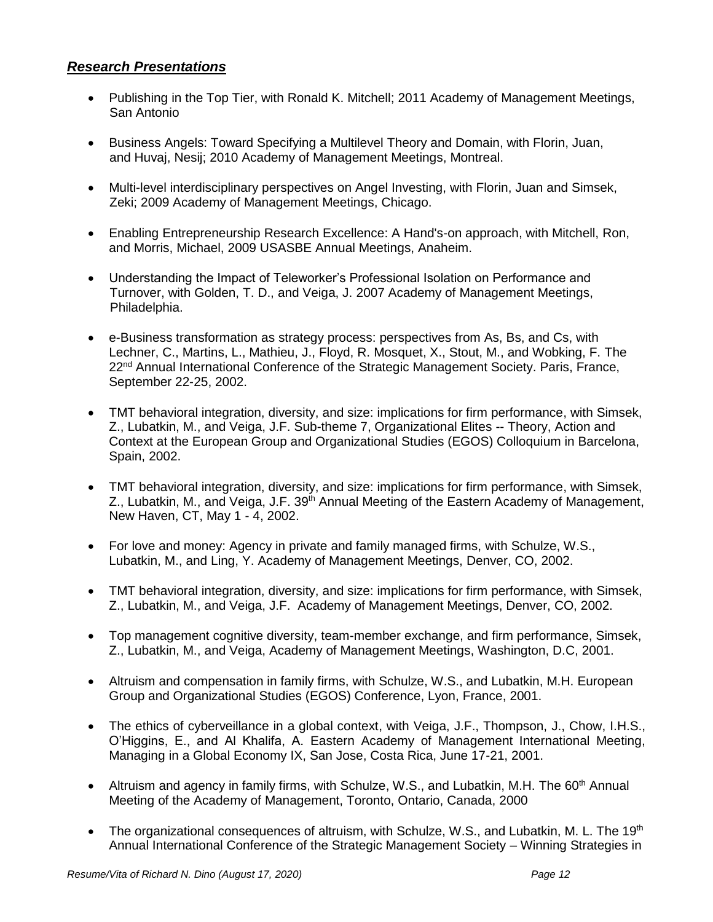## *Research Presentations*

- Publishing in the Top Tier, with Ronald K. Mitchell; 2011 Academy of Management Meetings, San Antonio
- Business Angels: Toward Specifying a Multilevel Theory and Domain, with Florin, Juan, and Huvaj, Nesij; 2010 Academy of Management Meetings, Montreal.
- Multi-level interdisciplinary perspectives on Angel Investing, with Florin, Juan and Simsek, Zeki; 2009 Academy of Management Meetings, Chicago.
- Enabling Entrepreneurship Research Excellence: A Hand's-on approach, with Mitchell, Ron, and Morris, Michael, 2009 USASBE Annual Meetings, Anaheim.
- Understanding the Impact of Teleworker's Professional Isolation on Performance and Turnover, with Golden, T. D., and Veiga, J. 2007 Academy of Management Meetings, Philadelphia.
- e-Business transformation as strategy process: perspectives from As, Bs, and Cs, with Lechner, C., Martins, L., Mathieu, J., Floyd, R. Mosquet, X., Stout, M., and Wobking, F. The 22<sup>nd</sup> Annual International Conference of the Strategic Management Society. Paris, France, September 22-25, 2002.
- TMT behavioral integration, diversity, and size: implications for firm performance, with Simsek, Z., Lubatkin, M., and Veiga, J.F. Sub-theme 7, Organizational Elites -- Theory, Action and Context at the European Group and Organizational Studies (EGOS) Colloquium in Barcelona, Spain, 2002.
- TMT behavioral integration, diversity, and size: implications for firm performance, with Simsek, Z., Lubatkin, M., and Veiga, J.F. 39<sup>th</sup> Annual Meeting of the Eastern Academy of Management, New Haven, CT, May 1 - 4, 2002.
- For love and money: Agency in private and family managed firms, with Schulze, W.S., Lubatkin, M., and Ling, Y. Academy of Management Meetings, Denver, CO, 2002.
- TMT behavioral integration, diversity, and size: implications for firm performance, with Simsek, Z., Lubatkin, M., and Veiga, J.F. Academy of Management Meetings, Denver, CO, 2002.
- Top management cognitive diversity, team-member exchange, and firm performance, Simsek, Z., Lubatkin, M., and Veiga, Academy of Management Meetings, Washington, D.C, 2001.
- Altruism and compensation in family firms, with Schulze, W.S., and Lubatkin, M.H. European Group and Organizational Studies (EGOS) Conference, Lyon, France, 2001.
- The ethics of cyberveillance in a global context, with Veiga, J.F., Thompson, J., Chow, I.H.S., O'Higgins, E., and Al Khalifa, A. Eastern Academy of Management International Meeting, Managing in a Global Economy IX, San Jose, Costa Rica, June 17-21, 2001.
- Altruism and agency in family firms, with Schulze, W.S., and Lubatkin, M.H. The  $60<sup>th</sup>$  Annual Meeting of the Academy of Management, Toronto, Ontario, Canada, 2000
- The organizational consequences of altruism, with Schulze, W.S., and Lubatkin, M. L. The 19<sup>th</sup> Annual International Conference of the Strategic Management Society – Winning Strategies in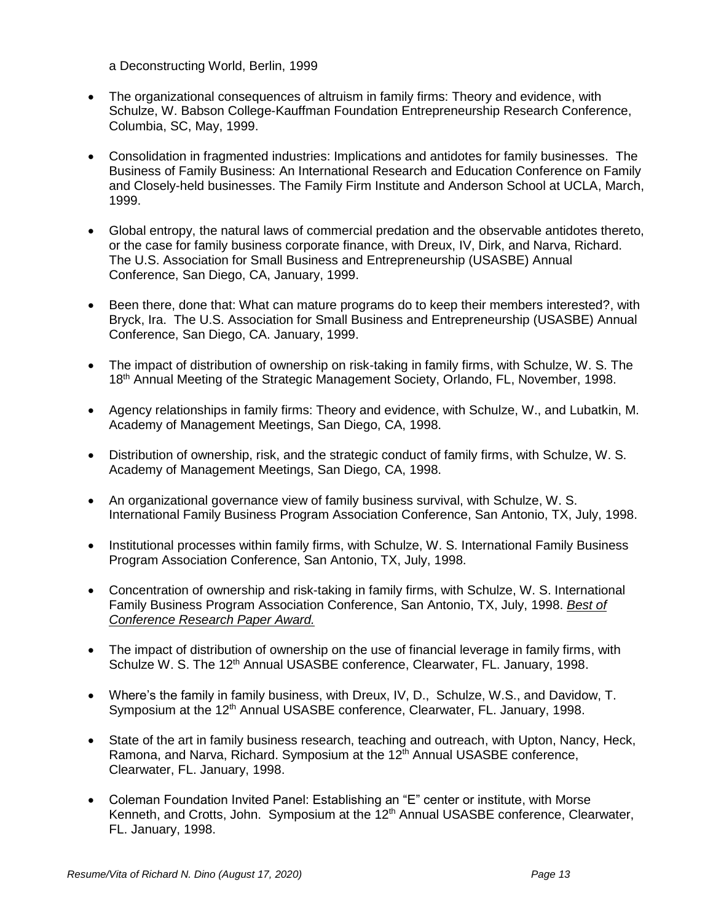a Deconstructing World, Berlin, 1999

- The organizational consequences of altruism in family firms: Theory and evidence, with Schulze, W. Babson College-Kauffman Foundation Entrepreneurship Research Conference, Columbia, SC, May, 1999.
- Consolidation in fragmented industries: Implications and antidotes for family businesses. The Business of Family Business: An International Research and Education Conference on Family and Closely-held businesses. The Family Firm Institute and Anderson School at UCLA, March, 1999.
- Global entropy, the natural laws of commercial predation and the observable antidotes thereto, or the case for family business corporate finance, with Dreux, IV, Dirk, and Narva, Richard. The U.S. Association for Small Business and Entrepreneurship (USASBE) Annual Conference, San Diego, CA, January, 1999.
- Been there, done that: What can mature programs do to keep their members interested?, with Bryck, Ira. The U.S. Association for Small Business and Entrepreneurship (USASBE) Annual Conference, San Diego, CA. January, 1999.
- The impact of distribution of ownership on risk-taking in family firms, with Schulze, W. S. The 18<sup>th</sup> Annual Meeting of the Strategic Management Society, Orlando, FL, November, 1998.
- Agency relationships in family firms: Theory and evidence, with Schulze, W., and Lubatkin, M. Academy of Management Meetings, San Diego, CA, 1998.
- Distribution of ownership, risk, and the strategic conduct of family firms, with Schulze, W. S. Academy of Management Meetings, San Diego, CA, 1998.
- An organizational governance view of family business survival, with Schulze, W. S. International Family Business Program Association Conference, San Antonio, TX, July, 1998.
- Institutional processes within family firms, with Schulze, W. S. International Family Business Program Association Conference, San Antonio, TX, July, 1998.
- Concentration of ownership and risk-taking in family firms, with Schulze, W. S. International Family Business Program Association Conference, San Antonio, TX, July, 1998. *Best of Conference Research Paper Award.*
- The impact of distribution of ownership on the use of financial leverage in family firms, with Schulze W. S. The 12<sup>th</sup> Annual USASBE conference, Clearwater, FL. January, 1998.
- Where's the family in family business, with Dreux, IV, D., Schulze, W.S., and Davidow, T. Symposium at the 12<sup>th</sup> Annual USASBE conference, Clearwater, FL. January, 1998.
- State of the art in family business research, teaching and outreach, with Upton, Nancy, Heck, Ramona, and Narva, Richard. Symposium at the 12<sup>th</sup> Annual USASBE conference, Clearwater, FL. January, 1998.
- Coleman Foundation Invited Panel: Establishing an "E" center or institute, with Morse Kenneth, and Crotts, John. Symposium at the 12<sup>th</sup> Annual USASBE conference, Clearwater, FL. January, 1998.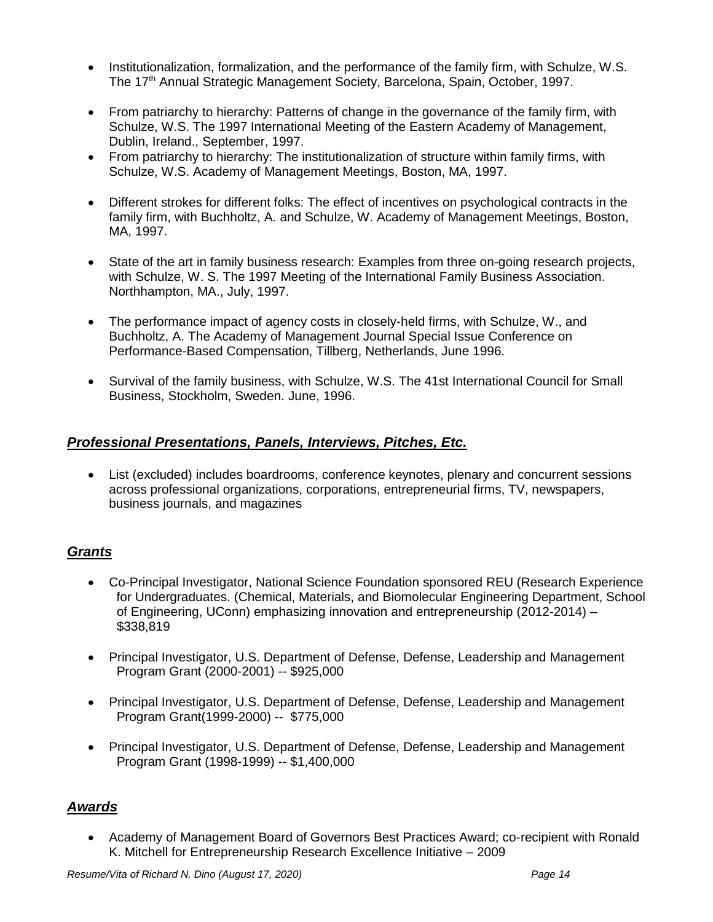- Institutionalization, formalization, and the performance of the family firm, with Schulze, W.S. The 17<sup>th</sup> Annual Strategic Management Society, Barcelona, Spain, October, 1997.
- From patriarchy to hierarchy: Patterns of change in the governance of the family firm, with Schulze, W.S. The 1997 International Meeting of the Eastern Academy of Management, Dublin, Ireland., September, 1997.
- From patriarchy to hierarchy: The institutionalization of structure within family firms, with Schulze, W.S. Academy of Management Meetings, Boston, MA, 1997.
- Different strokes for different folks: The effect of incentives on psychological contracts in the family firm, with Buchholtz, A. and Schulze, W. Academy of Management Meetings, Boston, MA, 1997.
- State of the art in family business research: Examples from three on-going research projects, with Schulze, W. S. The 1997 Meeting of the International Family Business Association. Northhampton, MA., July, 1997.
- The performance impact of agency costs in closely-held firms, with Schulze, W., and Buchholtz, A. The Academy of Management Journal Special Issue Conference on Performance-Based Compensation, Tillberg, Netherlands, June 1996.
- Survival of the family business, with Schulze, W.S. The 41st International Council for Small Business, Stockholm, Sweden. June, 1996.

# *Professional Presentations, Panels, Interviews, Pitches, Etc.*

 List (excluded) includes boardrooms, conference keynotes, plenary and concurrent sessions across professional organizations, corporations, entrepreneurial firms, TV, newspapers, business journals, and magazines

# *Grants*

- Co-Principal Investigator, National Science Foundation sponsored REU (Research Experience for Undergraduates. (Chemical, Materials, and Biomolecular Engineering Department, School of Engineering, UConn) emphasizing innovation and entrepreneurship (2012-2014) – \$338,819
- Principal Investigator, U.S. Department of Defense, Defense, Leadership and Management Program Grant (2000-2001) -- \$925,000
- Principal Investigator, U.S. Department of Defense, Defense, Leadership and Management Program Grant(1999-2000) -- \$775,000
- Principal Investigator, U.S. Department of Defense, Defense, Leadership and Management Program Grant (1998-1999) -- \$1,400,000

# *Awards*

 Academy of Management Board of Governors Best Practices Award; co-recipient with Ronald K. Mitchell for Entrepreneurship Research Excellence Initiative – 2009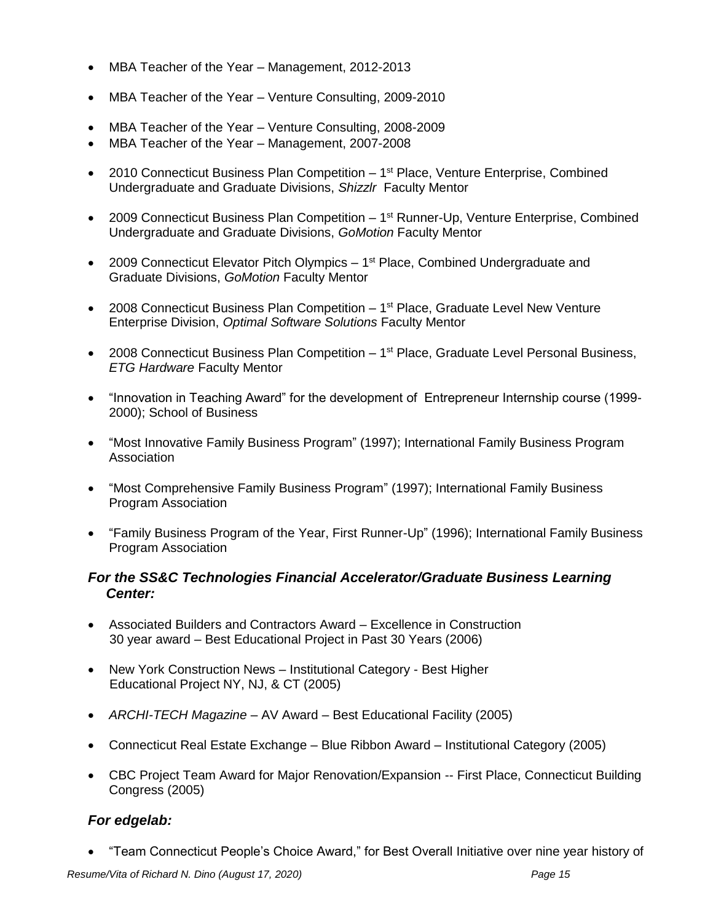- MBA Teacher of the Year Management, 2012-2013
- MBA Teacher of the Year Venture Consulting, 2009-2010
- MBA Teacher of the Year Venture Consulting, 2008-2009
- MBA Teacher of the Year Management, 2007-2008
- 2010 Connecticut Business Plan Competition  $-1^{st}$  Place, Venture Enterprise, Combined Undergraduate and Graduate Divisions, *Shizzlr* Faculty Mentor
- 2009 Connecticut Business Plan Competition 1<sup>st</sup> Runner-Up, Venture Enterprise, Combined Undergraduate and Graduate Divisions, *GoMotion* Faculty Mentor
- 2009 Connecticut Elevator Pitch Olympics  $-1<sup>st</sup>$  Place, Combined Undergraduate and Graduate Divisions, *GoMotion* Faculty Mentor
- 2008 Connecticut Business Plan Competition  $-1^{st}$  Place, Graduate Level New Venture Enterprise Division, *Optimal Software Solutions* Faculty Mentor
- 2008 Connecticut Business Plan Competition 1<sup>st</sup> Place, Graduate Level Personal Business, *ETG Hardware* Faculty Mentor
- "Innovation in Teaching Award" for the development of Entrepreneur Internship course (1999- 2000); School of Business
- "Most Innovative Family Business Program" (1997); International Family Business Program Association
- "Most Comprehensive Family Business Program" (1997); International Family Business Program Association
- "Family Business Program of the Year, First Runner-Up" (1996); International Family Business Program Association

# *For the SS&C Technologies Financial Accelerator/Graduate Business Learning Center:*

- Associated Builders and Contractors Award Excellence in Construction 30 year award – Best Educational Project in Past 30 Years (2006)
- New York Construction News Institutional Category Best Higher Educational Project NY, NJ, & CT (2005)
- *ARCHI-TECH Magazine* AV Award Best Educational Facility (2005)
- Connecticut Real Estate Exchange Blue Ribbon Award Institutional Category (2005)
- CBC Project Team Award for Major Renovation/Expansion -- First Place, Connecticut Building Congress (2005)

# *For edgelab:*

"Team Connecticut People's Choice Award," for Best Overall Initiative over nine year history of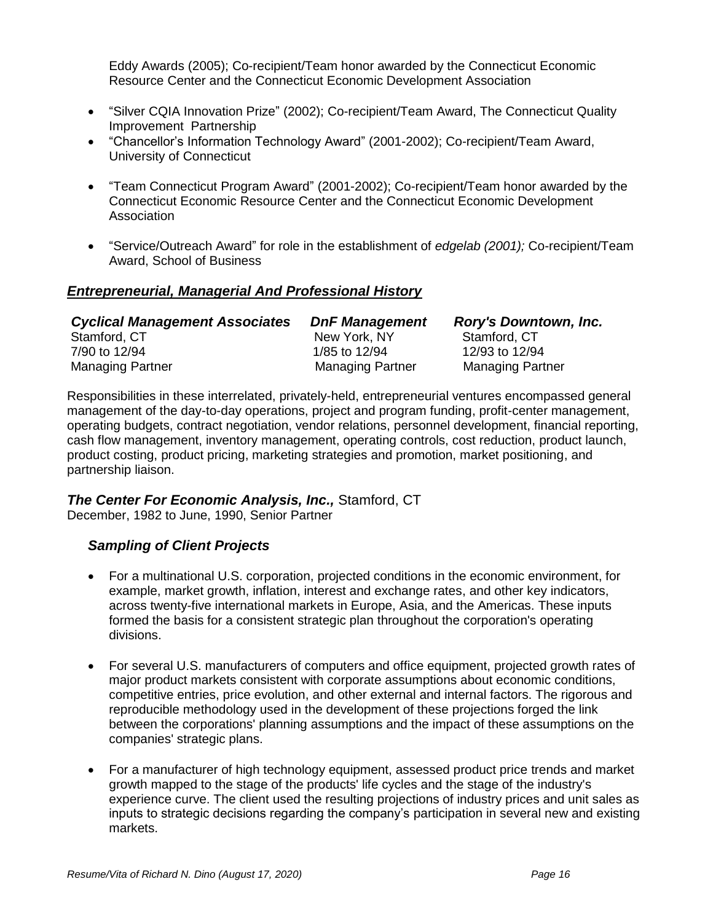Eddy Awards (2005); Co-recipient/Team honor awarded by the Connecticut Economic Resource Center and the Connecticut Economic Development Association

- "Silver CQIA Innovation Prize" (2002); Co-recipient/Team Award, The Connecticut Quality Improvement Partnership
- "Chancellor's Information Technology Award" (2001-2002); Co-recipient/Team Award, University of Connecticut
- "Team Connecticut Program Award" (2001-2002); Co-recipient/Team honor awarded by the Connecticut Economic Resource Center and the Connecticut Economic Development Association
- "Service/Outreach Award" for role in the establishment of *edgelab (2001);* Co-recipient/Team Award, School of Business

## *Entrepreneurial, Managerial And Professional History*

| <b>Cyclical Management Associates</b> | <b>DnF Management</b>   | <b>Rory's Downtown, Inc.</b> |
|---------------------------------------|-------------------------|------------------------------|
| Stamford, CT                          | New York, NY            | Stamford, CT                 |
| 7/90 to 12/94                         | 1/85 to 12/94           | 12/93 to 12/94               |
| <b>Managing Partner</b>               | <b>Managing Partner</b> | <b>Managing Partner</b>      |

Responsibilities in these interrelated, privately-held, entrepreneurial ventures encompassed general management of the day-to-day operations, project and program funding, profit-center management, operating budgets, contract negotiation, vendor relations, personnel development, financial reporting, cash flow management, inventory management, operating controls, cost reduction, product launch, product costing, product pricing, marketing strategies and promotion, market positioning, and partnership liaison.

#### *The Center For Economic Analysis, Inc.,* Stamford, CT

December, 1982 to June, 1990, Senior Partner

## *Sampling of Client Projects*

- For a multinational U.S. corporation, projected conditions in the economic environment, for example, market growth, inflation, interest and exchange rates, and other key indicators, across twenty-five international markets in Europe, Asia, and the Americas. These inputs formed the basis for a consistent strategic plan throughout the corporation's operating divisions.
- For several U.S. manufacturers of computers and office equipment, projected growth rates of major product markets consistent with corporate assumptions about economic conditions, competitive entries, price evolution, and other external and internal factors. The rigorous and reproducible methodology used in the development of these projections forged the link between the corporations' planning assumptions and the impact of these assumptions on the companies' strategic plans.
- For a manufacturer of high technology equipment, assessed product price trends and market growth mapped to the stage of the products' life cycles and the stage of the industry's experience curve. The client used the resulting projections of industry prices and unit sales as inputs to strategic decisions regarding the company's participation in several new and existing markets.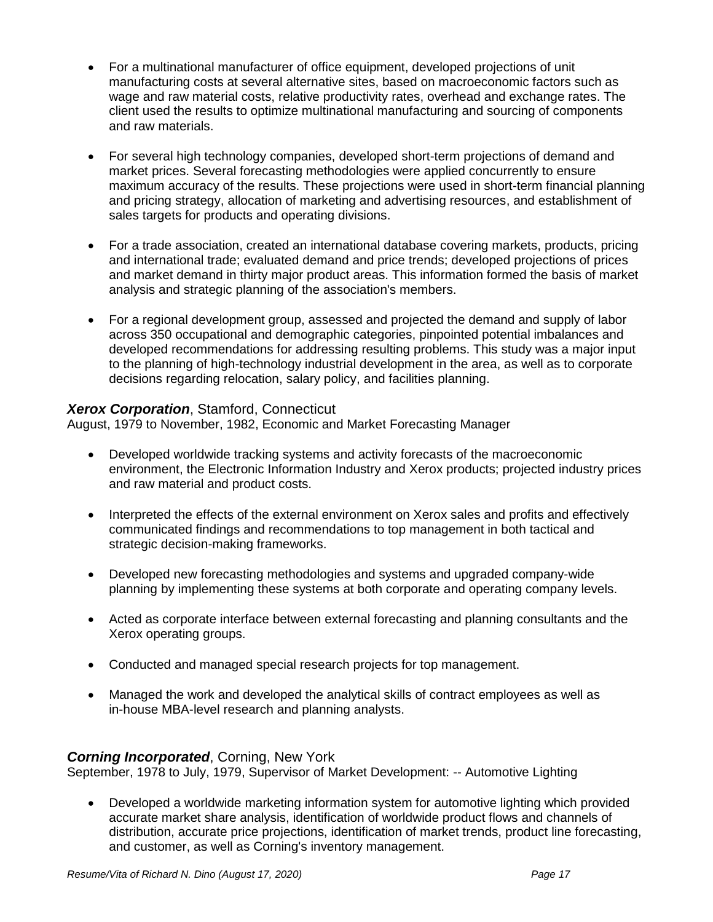- For a multinational manufacturer of office equipment, developed projections of unit manufacturing costs at several alternative sites, based on macroeconomic factors such as wage and raw material costs, relative productivity rates, overhead and exchange rates. The client used the results to optimize multinational manufacturing and sourcing of components and raw materials.
- For several high technology companies, developed short-term projections of demand and market prices. Several forecasting methodologies were applied concurrently to ensure maximum accuracy of the results. These projections were used in short-term financial planning and pricing strategy, allocation of marketing and advertising resources, and establishment of sales targets for products and operating divisions.
- For a trade association, created an international database covering markets, products, pricing and international trade; evaluated demand and price trends; developed projections of prices and market demand in thirty major product areas. This information formed the basis of market analysis and strategic planning of the association's members.
- For a regional development group, assessed and projected the demand and supply of labor across 350 occupational and demographic categories, pinpointed potential imbalances and developed recommendations for addressing resulting problems. This study was a major input to the planning of high-technology industrial development in the area, as well as to corporate decisions regarding relocation, salary policy, and facilities planning.

## *Xerox Corporation*, Stamford, Connecticut

August, 1979 to November, 1982, Economic and Market Forecasting Manager

- Developed worldwide tracking systems and activity forecasts of the macroeconomic environment, the Electronic Information Industry and Xerox products; projected industry prices and raw material and product costs.
- Interpreted the effects of the external environment on Xerox sales and profits and effectively communicated findings and recommendations to top management in both tactical and strategic decision-making frameworks.
- Developed new forecasting methodologies and systems and upgraded company-wide planning by implementing these systems at both corporate and operating company levels.
- Acted as corporate interface between external forecasting and planning consultants and the Xerox operating groups.
- Conducted and managed special research projects for top management.
- Managed the work and developed the analytical skills of contract employees as well as in-house MBA-level research and planning analysts.

## *Corning Incorporated*, Corning, New York

September, 1978 to July, 1979, Supervisor of Market Development: -- Automotive Lighting

 Developed a worldwide marketing information system for automotive lighting which provided accurate market share analysis, identification of worldwide product flows and channels of distribution, accurate price projections, identification of market trends, product line forecasting, and customer, as well as Corning's inventory management.